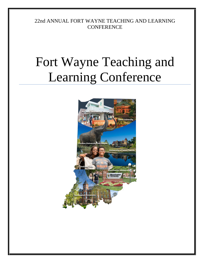22nd ANNUAL FORT WAYNE TEACHING AND LEARNING **CONFERENCE** 

# Fort Wayne Teaching and Learning Conference

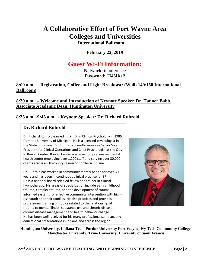# **A Collaborative Effort of Fort Wayne Area Colleges and Universities International Ballroom**

**February 22, 2019**

# **Guest Wi-Fi Information:**

**Network:** tconference **Password:** TI45UctP

#### **8:00 a.m. – Registration, Coffee and Light Breakfast: (Walb 149/150 International Ballroom)**

### **8:30 a.m. – Welcome and Introduction of Keynote Speaker:Dr. Tanner Babb, Associate Academic Dean, Huntington University**

## **8:35 a.m. -9:45 a.m. - Keynote Speaker: Dr. Richard Ruhrold**

#### **Dr. Richard Ruhrold**

Dr. Richard Ruhrold earned his Ph.D. in Clinical Psychology in 1986 from the University of Michigan. He is a licensed psychologist in the State of Indiana. Dr. Ruhrold currently serves as Senior Vice President for Clinical Operations and Chief Psychologist at the Otis R. Bowen Center. Bowen Center is a large comprehensive mental health center employing over 1,200 staff and serving over 30,000 clients across an 18-county region of northern Indiana.

Dr. Ruhrold has worked in community mental health for over 30 years and has been in continuous clinical practice for 37. He is a national board certified fellow and trainer in clinical hypnotherapy. His areas of specialization include early childhood trauma, complex trauma, and the development of traumainformed systems for effective community intervention with highrisk youth and their families. He also practices and provides professional training on topics related to the relationship of trauma to mental illness, substance use and chronic disease, chronic disease management and health behavior change. He has been well received for his many professional seminars and educational presentations in Indiana and across the region.



**Huntington University, Indiana Tech, Purdue University Fort Wayne, Ivy Tech Community College, Manchester University, Trine University, University of Saint Francis**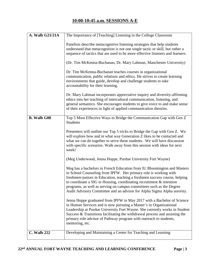## **10:00-10:45 a.m. SESSIONS A-E**

| A. Walb G21/21A    | The Importance of [Teaching] Listening in the College Classroom                                                                                                                                                                                                                                                                                                                                                                                                                                                                                                                                                                                                                                                                                                                                                                                                                 |
|--------------------|---------------------------------------------------------------------------------------------------------------------------------------------------------------------------------------------------------------------------------------------------------------------------------------------------------------------------------------------------------------------------------------------------------------------------------------------------------------------------------------------------------------------------------------------------------------------------------------------------------------------------------------------------------------------------------------------------------------------------------------------------------------------------------------------------------------------------------------------------------------------------------|
|                    | Panelists describe metacognitive listening strategies that help students<br>understand that metacognition is not one single tactic or skill, but rather a<br>sequence of tactics that are used to be more effective listeners and learners.<br>(Dr. Tim McKenna-Buchanan, Dr. Mary Lahman, Manchester University)<br>Dr. Tim McKenna-Buchanan teaches courses in organizational<br>communication, public relations and ethics. He strives to create learning<br>environments that guide, develop and challenge students to take<br>accountability for their learning.<br>Dr. Mary Lahman incorporates appreciative inquiry and diversity-affirming<br>ethics into her teaching of intercultural communication, listening, and<br>general semantics. She encourages students to give voice to and make sense<br>of their experiences in light of applied communication theories. |
| <b>B.</b> Walb G08 | Top 5 Most Effective Ways to Bridge the Communication Gap with Gen Z                                                                                                                                                                                                                                                                                                                                                                                                                                                                                                                                                                                                                                                                                                                                                                                                            |
|                    | <b>Students</b>                                                                                                                                                                                                                                                                                                                                                                                                                                                                                                                                                                                                                                                                                                                                                                                                                                                                 |
|                    | Presenters will outline our Top 5 tricks to Bridge the Gap with Gen Z. We<br>will explore how and in what way Generation Z likes to be contacted and<br>what we can do together to serve these students. We will have discussion<br>with specific scenarios. Walk away from this session with ideas for next<br>week!                                                                                                                                                                                                                                                                                                                                                                                                                                                                                                                                                           |
|                    | (Meg Underwood, Jenna Hoppe, Purdue University Fort Wayne)                                                                                                                                                                                                                                                                                                                                                                                                                                                                                                                                                                                                                                                                                                                                                                                                                      |
|                    | Meg has a bachelors in French Education from IU Bloomington and Masters<br>in School Counseling from IPFW. Her primary role is working with<br>freshmen-juniors in Education, teaching a freshmen success course, helping<br>to coordinate a SIG in Housing, coordinating recruitment $\&$ retention<br>programs, as well as serving on campus committees such as the Degree<br>Audit Advisory Committee and an advisor for Alpha Sigma Alpha sorority.                                                                                                                                                                                                                                                                                                                                                                                                                         |
|                    | Jenna Hoppe graduated from IPFW in May 2017 with a Bachelor of Science<br>in Human Services and is now pursuing a Master's in Organizational<br>Leadership at Purdue University Fort Wayne. She currently works in Student<br>Success & Transitions facilitating the withdrawal process and assisting the<br>primary role advisor of Pathway program with outreach to students,<br>mentoring, etc.                                                                                                                                                                                                                                                                                                                                                                                                                                                                              |
| <b>C. Walb 222</b> | Developing and Maintaining a Center for Teaching and Learning                                                                                                                                                                                                                                                                                                                                                                                                                                                                                                                                                                                                                                                                                                                                                                                                                   |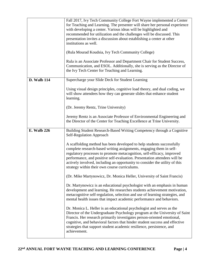|                    | Fall 2017, Ivy Tech Community College Fort Wayne implemented a Center<br>for Teaching and Learning. The presenter will share her personal experience<br>with developing a center. Various ideas will be highlighted and<br>recommended for utilization and the challenges will be discussed. This<br>presentation invites a discussion about establishing a center at other<br>institutions as well.<br>(Rula Mourad Koudsia, Ivy Tech Community College)<br>Rula is an Associate Professor and Department Chair for Student Success,<br>Communication, and ESOL. Additionally, she is serving as the Director of<br>the Ivy Tech Center for Teaching and Learning. |
|--------------------|---------------------------------------------------------------------------------------------------------------------------------------------------------------------------------------------------------------------------------------------------------------------------------------------------------------------------------------------------------------------------------------------------------------------------------------------------------------------------------------------------------------------------------------------------------------------------------------------------------------------------------------------------------------------|
| <b>D.</b> Walb 114 | Supercharge your Slide Deck for Student Learning                                                                                                                                                                                                                                                                                                                                                                                                                                                                                                                                                                                                                    |
|                    | Using visual design principles, cognitive load theory, and dual coding, we<br>will show attendees how they can generate slides that enhance student<br>learning.                                                                                                                                                                                                                                                                                                                                                                                                                                                                                                    |
|                    | (Dr. Jeremy Rentz, Trine University)                                                                                                                                                                                                                                                                                                                                                                                                                                                                                                                                                                                                                                |
|                    | Jeremy Rentz is an Associate Professor of Environmental Engineering and<br>the Director of the Center for Teaching Excellence at Trine University.                                                                                                                                                                                                                                                                                                                                                                                                                                                                                                                  |
| <b>E.</b> Walb 226 | Building Student Research-Based Writing Competency through a Cognitive<br><b>Self-Regulation Approach</b>                                                                                                                                                                                                                                                                                                                                                                                                                                                                                                                                                           |
|                    | A scaffolding method has been developed to help students successfully<br>complete research-based writing assignments, engaging them in self-<br>regulatory processes to promote metacognition, self-efficacy, improved<br>performance, and positive self-evaluation. Presentation attendees will be<br>actively involved, including an opportunity to consider the utility of this<br>strategy within their own course curriculums.                                                                                                                                                                                                                                 |
|                    | (Dr. Mike Martynowicz, Dr. Monica Heller, University of Saint Francis)                                                                                                                                                                                                                                                                                                                                                                                                                                                                                                                                                                                              |
|                    | Dr. Martynowicz is an educational psychologist with an emphasis in human<br>development and learning. He researches students achievement motivation,<br>metacognitive self-regulation, selection and use of learning strategies, and<br>mental health issues that impact academic performance and behaviors.                                                                                                                                                                                                                                                                                                                                                        |
|                    | Dr. Monica L. Heller is an educational psychologist and serves as the<br>Director of the Undergraduate Psychology program at the University of Saint<br>Francis. Her research primarily investigates person-oriented emotional,<br>cognitive, and behavioral factors that hinder student success and effective<br>strategies that support student academic resilience, persistence, and<br>achievement.                                                                                                                                                                                                                                                             |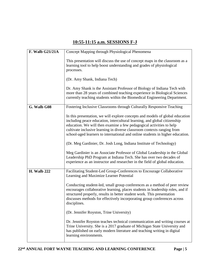## **10:55-11:15 a.m. SESSIONS F-J**

| F. Walb G21/21A    | Concept Mapping through Physiological Phenomena                                                                                                                                                                                                                                                                                                                                                 |
|--------------------|-------------------------------------------------------------------------------------------------------------------------------------------------------------------------------------------------------------------------------------------------------------------------------------------------------------------------------------------------------------------------------------------------|
|                    | This presentation will discuss the use of concept maps in the classroom as a<br>learning tool to help boost understanding and grades of physiological<br>processes.                                                                                                                                                                                                                             |
|                    | (Dr. Amy Shank, Indiana Tech)                                                                                                                                                                                                                                                                                                                                                                   |
|                    | Dr. Amy Shank is the Assistant Professor of Biology of Indiana Tech with<br>more than 28 years of combined teaching experience in Biological Sciences<br>currently teaching students within the Biomedical Engineering Department.                                                                                                                                                              |
| G. Walb G08        | Fostering Inclusive Classrooms through Culturally Responsive Teaching                                                                                                                                                                                                                                                                                                                           |
|                    | In this presentation, we will explore concepts and models of global education<br>including peace education, intercultural learning, and global citizenship<br>education. We will then examine a few pedagogical activities to help<br>cultivate inclusive learning in diverse classroom contexts ranging from<br>school-aged learners to international and online students in higher education. |
|                    | (Dr. Meg Gardinier, Dr. Josh Long, Indiana Institute of Technology)                                                                                                                                                                                                                                                                                                                             |
|                    | Meg Gardinier is an Associate Professor of Global Leadership in the Global<br>Leadership PhD Program at Indiana Tech. She has over two decades of<br>experience as an instructor and researcher in the field of global education.                                                                                                                                                               |
| <b>H. Walb 222</b> | Facilitating Student-Led Group-Conferences to Encourage Collaborative<br>Learning and Maximize Learner Potential                                                                                                                                                                                                                                                                                |
|                    | Conducting student-led, small group conferences as a method of peer review<br>encourages collaborative learning, places students in leadership roles, and if<br>structured properly, results in better student work. This presentation<br>discusses methods for effectively incorporating group conferences across<br>disciplines.                                                              |
|                    | (Dr. Jennifer Royston, Trine University)                                                                                                                                                                                                                                                                                                                                                        |
|                    | Dr. Jennifer Royston teaches technical communication and writing courses at<br>Trine University. She is a 2017 graduate of Michigan State University and<br>has published on early modern literature and teaching writing in digital<br>learning environments.                                                                                                                                  |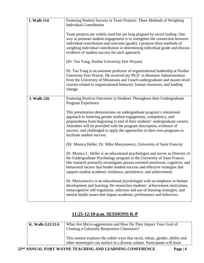| <b>I. Walb 114</b> | Fostering Student Success in Team Projects: Three Methods of Weighing<br><b>Individual Contribution</b>                                                                                                                                                                                                                                                                                                       |
|--------------------|---------------------------------------------------------------------------------------------------------------------------------------------------------------------------------------------------------------------------------------------------------------------------------------------------------------------------------------------------------------------------------------------------------------|
|                    | Team projects are widely used but are long plagued by social loafing. One<br>way to promote student engagement is to strengthen the connection between<br>individual contribution and outcome (grade). I propose three methods of<br>weighing individual contribution in determining individual grade and discuss<br>evidence of student success for each approach.                                           |
|                    | (Dr. Tao Yang, Purdue University Fort Wayne)                                                                                                                                                                                                                                                                                                                                                                  |
|                    | Dr. Tao Yang is an assistant professor of organizational leadership at Purdue<br>University Fort Wayne. He received my Ph.D. in Business Administration<br>from the University of Minnesota and I teach undergraduate and master-level<br>courses related to organizational behavior, human resources, and leading<br>change.                                                                                 |
| <b>J. Walb 226</b> | Fostering Positive Outcomes in Students Throughout their Undergraduate<br>Program Experience                                                                                                                                                                                                                                                                                                                  |
|                    | This presentation demonstrates an undergraduate program's intentional<br>approach to fostering greater student engagement, competency, and<br>preparedness from beginning to end of their students' undergraduate careers.<br>Attendees will be provided with the program description, evidence of<br>success, and challenged to apply the approaches to their own programs to<br>facilitate student success. |
|                    | (Dr. Monica Heller, Dr. Mike Martynowicz, University of Saint Francis)                                                                                                                                                                                                                                                                                                                                        |
|                    | Dr. Monica L. Heller is an educational psychologist and serves as Director of<br>the Undergraduate Psychology program at the University of Saint Francis.<br>Her research primarily investigates person-oriented emotional, cognitive, and<br>behavioral factors that hinder student success and effective strategies that<br>support student academic resilience, persistence, and achievement.              |
|                    | Dr. Martynowicz is an educational psychologist with an emphasis in human<br>development and learning. He researches students' achievement motivation,<br>metacognitive self-regulation, selection and use of learning strategies, and<br>mental health issues that impact academic performance and behaviors.                                                                                                 |

## **11:25-12:10 p.m. SESSIONS K-P**

| $K$ . Walb G21/21A | What Are Micro-aggressions and How Do They Impact Your Goal of<br>Creating a Culturally Responsive Classroom?                                                 |
|--------------------|---------------------------------------------------------------------------------------------------------------------------------------------------------------|
|                    | This session explores the subtle ways that racial, ethnic, gender, ability and<br>other stereotypes can surface in a diverse culture. Participants will learn |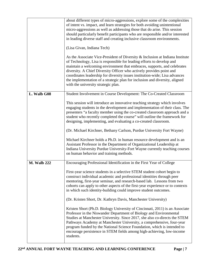|                    | about different types of micro-aggressions, explore some of the complexities<br>of intent vs. impact, and learn strategies for both avoiding unintentional<br>micro-aggressions as well as addressing those that do arise. This session<br>should particularly benefit participants who are responsible and/or interested<br>in leading diverse staff and creating inclusive classroom environments.<br>(Lisa Givan, Indiana Tech)<br>As the Associate Vice-President of Diversity & Inclusion at Indiana Institute<br>of Technology, Lisa is responsible for leading efforts to develop and<br>maintain a welcoming environment that embraces, supports, and celebrates<br>diversity. A Chief Diversity Officer who actively provides point and<br>coordinates leadership for diversity issues institution-wide; Lisa advances<br>the implementation of a strategic plan for inclusion and diversity, aligned<br>with the university strategic plan.                                                    |
|--------------------|----------------------------------------------------------------------------------------------------------------------------------------------------------------------------------------------------------------------------------------------------------------------------------------------------------------------------------------------------------------------------------------------------------------------------------------------------------------------------------------------------------------------------------------------------------------------------------------------------------------------------------------------------------------------------------------------------------------------------------------------------------------------------------------------------------------------------------------------------------------------------------------------------------------------------------------------------------------------------------------------------------|
| L. Walb G08        | Student Involvement in Course Development: The Co-Created Classroom<br>This session will introduce an innovative teaching strategy which involves<br>engaging students in the development and implementation of their class. The<br>presenters "a faculty member using the co-created classroom approach and a<br>student who recently completed the course" will outline the framework for<br>designing, implementing, and evaluating a co-created classroom.<br>(Dr. Michael Kirchner, Bethany Carlson, Purdue University Fort Wayne)<br>Michael Kirchner holds a Ph.D. in human resource development and is an<br>Assistant Professor in the Department of Organizational Leadership at<br>Indiana University Purdue University-Fort Wayne currently teaching courses<br>on human behavior and training methods.                                                                                                                                                                                      |
| <b>M. Walb 222</b> | Encouraging Professional Identification in the First Year of College<br>First-year science students in a selective STEM student cohort begin to<br>construct individual academic and professional identities through peer<br>mentoring, first-year seminar, and research-based lab. Lessons from two<br>cohorts can apply to other aspects of the first-year experience or to contexts<br>in which such identity-building could improve student outcomes.<br>(Dr. Kristen Short, Dr. Kathryn Davis, Manchester University)<br>Kristen Short (Ph.D. Biology University of Cincinnati, 2011) is an Associate<br>Professor in the Niswander Department of Biology and Environmental<br>Studies at Manchester University. Since 2017, she also co-directs the STEM<br>Pathways Academy at Manchester University, a comprehensive, four-year<br>program funded by the National Science Foundation, which is intended to<br>encourage persistence in STEM fields among high-achieving, low-income<br>students. |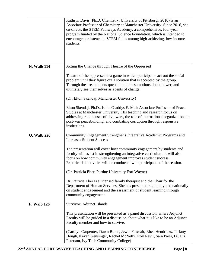|                    | Kathryn Davis (Ph.D. Chemistry, University of Pittsburgh 2010) is an<br>Associate Professor of Chemistry at Manchester University. Since 2016, she<br>co-directs the STEM Pathways Academy, a comprehensive, four-year<br>program funded by the National Science Foundation, which is intended to<br>encourage persistence in STEM fields among high-achieving, low-income<br>students. |
|--------------------|-----------------------------------------------------------------------------------------------------------------------------------------------------------------------------------------------------------------------------------------------------------------------------------------------------------------------------------------------------------------------------------------|
| <b>N. Walb 114</b> | Acting the Change through Theatre of the Oppressed                                                                                                                                                                                                                                                                                                                                      |
|                    | Theatre of the oppressed is a game in which participants act out the social<br>problem until they figure out a solution that is accepted by the group.<br>Through theatre, students question their assumptions about power, and<br>ultimately see themselves as agents of change.                                                                                                       |
|                    | (Dr. Elton Skendaj, Manchester University)                                                                                                                                                                                                                                                                                                                                              |
|                    | Elton Skendaj, Ph.D., is the Gladdys E. Muir Associate Professor of Peace<br>Studies at Manchester University. His teaching and research focus on<br>addressing root causes of civil wars, the role of international organizations in<br>post-war peacebuilding, and combating corruption through responsive<br>institutions.                                                           |
| <b>O.</b> Walb 226 | Community Engagement Strengthens Integrative Academic Programs and<br><b>Increases Student Success</b>                                                                                                                                                                                                                                                                                  |
|                    | The presentation will cover how community engagement by students and<br>faculty will assist in strengthening an integrative curriculum. It will also<br>focus on how community engagement improves student success.<br>Experiential activities will be conducted with participants of the session.                                                                                      |
|                    | (Dr. Patricia Eber, Purdue University Fort Wayne)                                                                                                                                                                                                                                                                                                                                       |
|                    | Dr. Patricia Eber is a licensed family therapist and the Chair for the<br>Department of Human Services. She has presented regionally and nationally<br>on student engagement and the assessment of student learning through<br>community engagement.                                                                                                                                    |
| <b>P.</b> Walb 126 | <b>Survivor: Adjunct Islands</b>                                                                                                                                                                                                                                                                                                                                                        |
|                    | This presentation will be presented as a panel discussion, where Adjunct<br>Faculty will be guided in a discussion about what it is like to be an Adjunct<br>Faculty member and how to survive.                                                                                                                                                                                         |
|                    | (Carolyn Carpenter, Dawn Burns, Jewel Flitcraft, Rhea Hendricks, Tiffany<br>Hough, Keven Kensinger, Rachel McNelly, Roy Nevil, Sara Paris, Dr. Liz<br>Peterson, Ivy Tech Community College)                                                                                                                                                                                             |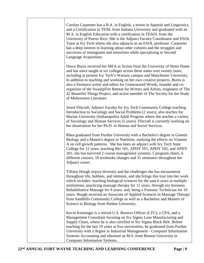|  | Carolyn Carpenter has a B.A. in English, a minor in Spanish and Linguistics,<br>and a Certification in TENL from Indiana University and graduated with an<br>M.A. in English Education with a certification in TESOL from the<br>University of Puerto Rico. She is the Adjunct Faculty Coordinator and ESOL<br>Tutor at Ivy Tech where she also adjuncts as an ESOL professor. Carpenter<br>has a deep interest in learning about other cultures and the struggles and<br>successes of immigrants and minorities while specializing in Second<br>Language Acquisition.                                       |
|--|--------------------------------------------------------------------------------------------------------------------------------------------------------------------------------------------------------------------------------------------------------------------------------------------------------------------------------------------------------------------------------------------------------------------------------------------------------------------------------------------------------------------------------------------------------------------------------------------------------------|
|  | Dawn Burns received her MFA in fiction from the University of Notre Dame<br>and has since taught at six colleges across three states over twenty years,<br>including at present Ivy Tech's Warsaw campus and Manchester University.<br>In addition to teaching and working on her own creative projects, Burns is<br>also a freelance writer and editor for Unmeasured Words, founder and co-<br>organizer of the SwampFire Retreat for Writers and Artists, originator of The<br>42 Beautiful Things Project, and active member of The Society for the Study<br>of Midwestern Literature.                   |
|  | Jewel Flitcraft, Adjunct Faculty for Ivy Tech Community College teaching<br>Introduction to Sociology and Social Problems (2 years), also teaches for<br>Marian University (Indianapolis) Adult Program where she teaches a variety<br>of Sociology and Human Services (5 years). Fliteraft is currently working on<br>her dissertation for her Ph.D. in Human and Social Services.                                                                                                                                                                                                                          |
|  | Rhea graduated from Purdue University with a Bachelor's degree in Genetic<br>Biology and a Master's degree in Nutrition, studying the effects on Vitamin<br>A on cell growth patterns. She has been an adjunct with Ivy Tech State<br>College for 12 years, teaching Bio 101, APHY 101, APHY 102, and APHY<br>201; she has survived 2 course management systems, 5 program chairs, 6<br>different courses, 10 textbooks changes and 31 semesters throughout her<br>Adjunct career.                                                                                                                           |
|  | Tiffany Hough enjoys diversity and the challenges she has encountered<br>throughout life, hobbies, and interests, and she brings this trait into her work<br>which includes: teaching biological sciences for the past 6 years at multiple<br>institutions; practicing massage therapy for 12 years, through my business<br>Rehabilitative Massage for 9 years; and, being a Forensic Technician for 10<br>years. Hough received an Associate of Applied Sciences in Massage Therapy<br>from Sandhills Community College as well as a Bachelors and Masters of<br>Science in Biology from Purdue University. |
|  | Kevin Kensinger is a retired U.S. Reserve Officer (LTC), a CPA, and a<br>Management Consultant focusing on Six Sigma Lean Manufacturing and<br>Supply Chain, where he is also certified in Six Sigma Black Belt. Before<br>teaching for the last 19 years at five universities, he graduated from Purdue<br>University with a degree in Industrial Management - Computer Information<br>Systems Accounting and obtained an M.S. from Boston University in<br><b>Computer Information Systems.</b>                                                                                                            |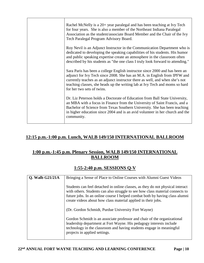| Rachel McNelly is a 20+ year paralegal and has been teaching at Ivy Tech<br>for four years. She is also a member of the Northeast Indiana Paralegal<br>Association as the student/associate Board Member and the Chair of the Ivy<br>Tech Paralegal Program Advisory Board.                                                                           |
|-------------------------------------------------------------------------------------------------------------------------------------------------------------------------------------------------------------------------------------------------------------------------------------------------------------------------------------------------------|
| Roy Nevil is an Adjunct Instructor in the Communication Department who is<br>dedicated to developing the speaking capabilities of his students. His humor<br>and public speaking expertise create an atmosphere in the classroom often<br>described by his students as "the one class I truly look forward to attending."                             |
| Sara Paris has been a college English instructor since 2000 and has been an<br>adjunct for Ivy Tech since 2008. She has an M.A. in English from IPFW and<br>currently teaches as an adjunct instructor there as well, and when she's not<br>teaching classes, she heads up the writing lab at Ivy Tech and moms so hard<br>for her two sets of twins. |
| Dr. Liz Peterson holds a Doctorate of Education from Ball State University,<br>an MBA with a focus in Finance from the University of Saint Francis, and a<br>Bachelor of Science from Texas Southern University. She has been teaching<br>in higher education since 2004 and is an avid volunteer in her church and the<br>community.                 |

# **12:15 p.m.-1:00 p.m. Lunch, WALB 149/150 INTERNATIONAL BALLROOM**

## **1:00 p.m.-1:45 p.m. Plenary Session, WALB 149/150 INTERNATIONAL BALLROOM**

#### **1:55-2:40 p.m. SESSIONS Q-V**

| <b>Q.</b> Walb G21/21A | Bringing a Sense of Place to Online Courses with Alumni Guest Videos                                                                                                                                                                                                                                             |
|------------------------|------------------------------------------------------------------------------------------------------------------------------------------------------------------------------------------------------------------------------------------------------------------------------------------------------------------|
|                        | Students can feel detached in online classes, as they do not physical interact<br>with others. Students can also struggle to see how class material connects to<br>future jobs. In an online course I helped combat both by having class alumni<br>create videos about how class material applied in their jobs. |
|                        | (Dr. Gordon Schmidt, Purdue University Fort Wayne)                                                                                                                                                                                                                                                               |
|                        | Gordon Schmidt is an associate professor and chair of the organizational<br>leadership department at Fort Wayne. His pedagogy interests include<br>technology in the classroom and having students engage in meaningful<br>projects in applied settings.                                                         |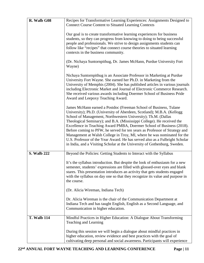| R. Walb G08        | Recipes for Transformative Learning Experiences: Assignments Designed to                                                                                                                                                                                                                                                                                                                                                                                                                                                                                                                                                                                                              |
|--------------------|---------------------------------------------------------------------------------------------------------------------------------------------------------------------------------------------------------------------------------------------------------------------------------------------------------------------------------------------------------------------------------------------------------------------------------------------------------------------------------------------------------------------------------------------------------------------------------------------------------------------------------------------------------------------------------------|
|                    | <b>Connect Course Content to Situated Learning Contexts</b>                                                                                                                                                                                                                                                                                                                                                                                                                                                                                                                                                                                                                           |
|                    | Our goal is to create transformative learning experiences for business<br>students, so they can progress from knowing to doing to being successful<br>people and professionals. We strive to design assignments students can<br>follow like "recipes" that connect course theories to situated learning<br>contexts in the business community.                                                                                                                                                                                                                                                                                                                                        |
|                    | (Dr. Nichaya Suntornpithug, Dr. James McHann, Purdue University Fort<br>Wayne)                                                                                                                                                                                                                                                                                                                                                                                                                                                                                                                                                                                                        |
|                    | Nichaya Suntornpithug is an Associate Professor in Marketing at Purdue<br>University Fort Wayne. She earned her Ph.D. in Marketing from the<br>University of Memphis (2004). She has published articles in various journals<br>including Electronic Market and Journal of Electronic Commerce Research.<br>She received various awards including Doermer School of Business Pride<br>Award and Leepoxy Teaching Award.                                                                                                                                                                                                                                                                |
|                    | James McHann earned a Postdoc (Freeman School of Business, Tulane<br>University); Ph.D. (University of Aberdeen, Scotland); M.B.A. (Kellogg)<br>School of Management, Northwestern University); Th.M. (Dallas<br>Theological Seminary); and B.A. (Mississippi College). He received the<br>Excellence in Teaching Award PMBA, Doermer School of Business (2018).<br>Before coming to PFW, he served for ten years as Professor of Strategy and<br>Management at Walsh College in Troy, MI, where he was nominated for the<br>U.S. Professor of the Year Award. He has served also as a Fulbright Scholar<br>in India, and a Visiting Scholar at the University of Gothenburg, Sweden. |
| <b>S. Walb 222</b> | Beyond the Policies: Getting Students to Interact with the Syllabus                                                                                                                                                                                                                                                                                                                                                                                                                                                                                                                                                                                                                   |
|                    | It's the syllabus introduction. But despite the look of enthusiasm for a new<br>semester, students' expressions are filled with glossed-over eyes and blank<br>stares. This presentation introduces an activity that gets students engaged<br>with the syllabus on day one so that they recognize its value and purpose in<br>the course.                                                                                                                                                                                                                                                                                                                                             |
|                    | (Dr. Alicia Wireman, Indiana Tech)                                                                                                                                                                                                                                                                                                                                                                                                                                                                                                                                                                                                                                                    |
|                    | Dr. Alicia Wireman is the chair of the Communication Department at<br>Indiana Tech and has taught English, English as a Second Language, and<br>Communication in higher education.                                                                                                                                                                                                                                                                                                                                                                                                                                                                                                    |
| <b>T. Walb 114</b> | Mindful Practices in Higher Education: A Dialogue About Transforming<br>Teaching and Learning                                                                                                                                                                                                                                                                                                                                                                                                                                                                                                                                                                                         |
|                    | During this session we will begin a dialogue about mindful practices in<br>higher education, review evidence and best practices with the goal of<br>cultivating deep personal and social awareness. Participants will experience                                                                                                                                                                                                                                                                                                                                                                                                                                                      |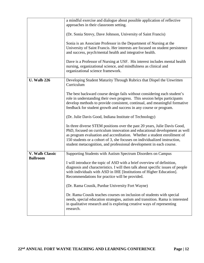|                    | a mindful exercise and dialogue about possible application of reflective        |
|--------------------|---------------------------------------------------------------------------------|
|                    | approaches in their classroom setting.                                          |
|                    |                                                                                 |
|                    | (Dr. Sonia Strevy, Dave Johnson, University of Saint Francis)                   |
|                    |                                                                                 |
|                    | Sonia is an Associate Professor in the Department of Nursing at the             |
|                    | University of Saint Francis. Her interests are focused on student persistence   |
|                    | and success, psych/mental health and integrative health.                        |
|                    |                                                                                 |
|                    | Dave is a Professor of Nursing at USF. His interest includes mental health      |
|                    |                                                                                 |
|                    | nursing, organizational science, and mindfulness as clinical and                |
|                    | organizational science framework.                                               |
|                    |                                                                                 |
| <b>U.</b> Walb 226 | Developing Student Maturity Through Rubrics that Dispel the Unwritten           |
|                    | Curriculum                                                                      |
|                    |                                                                                 |
|                    | The best backward course design fails without considering each student's        |
|                    | role in understanding their own progress. This session helps participants       |
|                    | develop methods to provide consistent, continual, and meaningful formative      |
|                    | feedback for student growth and success in any course or program.               |
|                    |                                                                                 |
|                    | (Dr. Julie Davis Good, Indiana Institute of Technology)                         |
|                    |                                                                                 |
|                    | In three diverse STEM positions over the past 20 years, Julie Davis Good,       |
|                    | PhD, focused on curriculum innovation and educational development as well       |
|                    | as program evaluation and accreditation. Whether a student enrollment of        |
|                    | 150 students or a cohort of 3, she focuses on individualized instruction,       |
|                    | student metacognition, and professional development in each course.             |
|                    |                                                                                 |
| V. Walb Classic    | Supporting Students with Autism Spectrum Disorders on Campus                    |
| <b>Ballroom</b>    |                                                                                 |
|                    | I will introduce the topic of ASD with a brief overview of definition,          |
|                    | diagnosis and characteristics. I will then talk about specific issues of people |
|                    | with individuals with ASD in IHE [Institutions of Higher Education].            |
|                    | Recommendations for practice will be provided.                                  |
|                    |                                                                                 |
|                    | (Dr. Rama Cousik, Purdue University Fort Wayne)                                 |
|                    |                                                                                 |
|                    | Dr. Rama Cousik teaches courses on inclusion of students with special           |
|                    | needs, special education strategies, autism and transition. Rama is interested  |
|                    | in qualitative research and is exploring creative ways of representing          |
|                    | research.                                                                       |
|                    |                                                                                 |